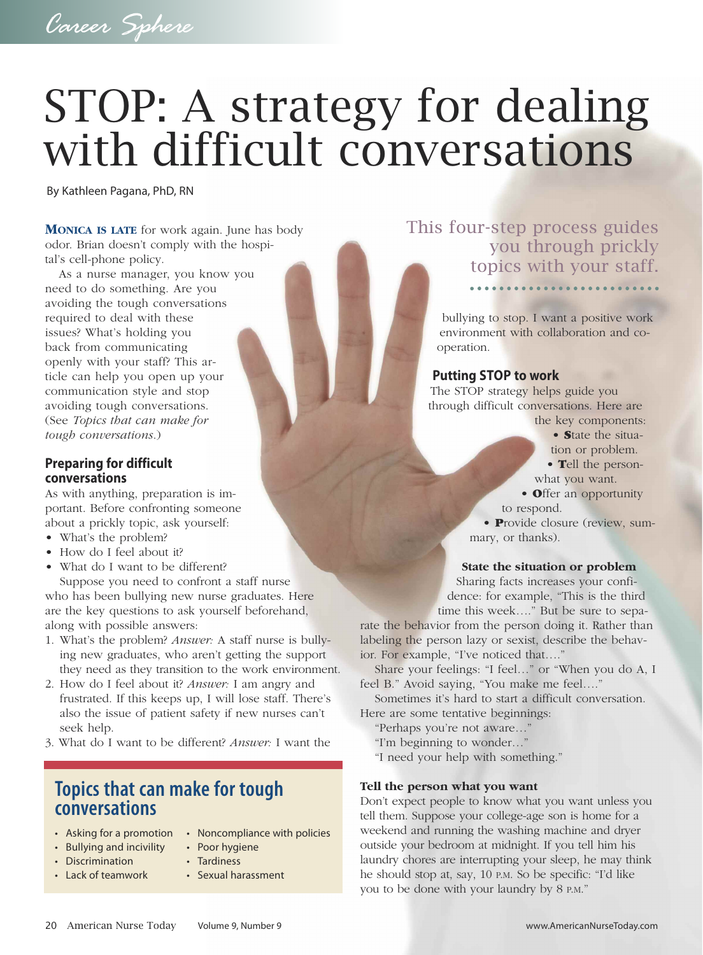# STOP: A strategy for dealing with difficult conversations

By Kathleen Pagana, PhD, RN

**MONICA IS LATE** for work again. June has body odor. Brian doesn't comply with the hospital's cell-phone policy.

As a nurse manager, you know you need to do something. Are you avoiding the tough conversations required to deal with these issues? What's holding you back from communicating openly with your staff? This article can help you open up your communication style and stop avoiding tough conversations. (See *Topics that can make for tough conversations*.)

#### **Preparing for difficult conversations**

As with anything, preparation is important. Before confronting someone about a prickly topic, ask yourself:

- What's the problem?
- How do I feel about it?
- What do I want to be different?

Suppose you need to confront a staff nurse who has been bullying new nurse graduates. Here are the key questions to ask yourself beforehand, along with possible answers:

- 1. What's the problem? *Answer:* A staff nurse is bullying new graduates, who aren't getting the support they need as they transition to the work environment.
- 2. How do I feel about it? *Answer:* I am angry and frustrated. If this keeps up, I will lose staff. There's also the issue of patient safety if new nurses can't seek help.
- 3. What do I want to be different? *Answer:* I want the

## **Topics that can make for tough conversations**

- Asking for a promotion Noncompliance with policies
- Bullying and incivility Poor hygiene
- Discrimination Tardiness
- Lack of teamwork Sexual harassment
- 
- - -

### This four-step process guides you through prickly topics with your staff.

bullying to stop. I want a positive work environment with collaboration and cooperation.

#### **Putting STOP to work**

The STOP strategy helps guide you through difficult conversations. Here are

the key components: • **S**tate the situa-

- tion or problem.
- **T**ell the person-

what you want.

• **O**ffer an opportunity to respond.

• **P**rovide closure (review, summary, or thanks).

#### **State the situation or problem**

Sharing facts increases your confidence: for example, "This is the third time this week…." But be sure to sepa-

rate the behavior from the person doing it. Rather than labeling the person lazy or sexist, describe the behavior. For example, "I've noticed that…."

Share your feelings: "I feel…" or "When you do A, I feel B." Avoid saying, "You make me feel…."

Sometimes it's hard to start a difficult conversation. Here are some tentative beginnings:

- "Perhaps you're not aware…"
- "I'm beginning to wonder…"

"I need your help with something."

#### **Tell the person what you want**

Don't expect people to know what you want unless you tell them. Suppose your college-age son is home for a weekend and running the washing machine and dryer outside your bedroom at midnight. If you tell him his laundry chores are interrupting your sleep, he may think he should stop at, say, 10 P.M. So be specific: "I'd like you to be done with your laundry by 8 P.M."